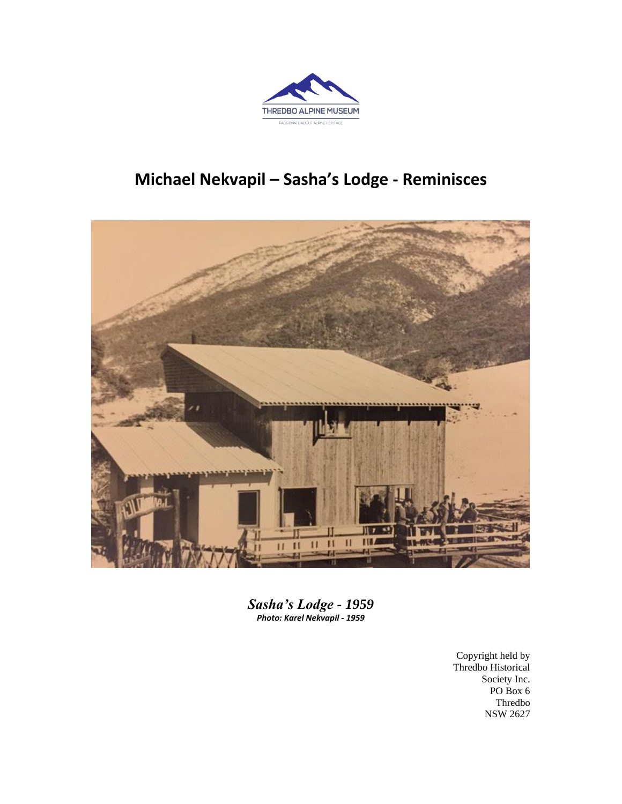

## **Michael Nekvapil – Sasha's Lodge - Reminisces**



*Sasha's Lodge - 1959 Photo: Karel Nekvapil - 1959*

> Copyright held by Thredbo Historical Society Inc. PO Box 6 Thredbo NSW 2627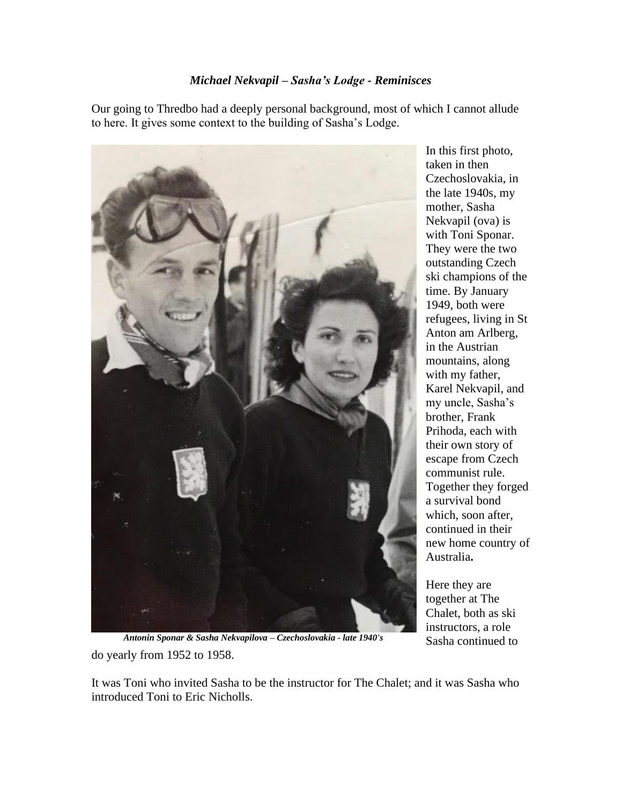## *Michael Nekvapil – Sasha's Lodge - Reminisces*

Our going to Thredbo had a deeply personal background, most of which I cannot allude to here. It gives some context to the building of Sasha's Lodge.

![](_page_1_Picture_2.jpeg)

In this first photo, taken in then Czechoslovakia, in the late 1940s, my mother, Sasha Nekvapil (ova) is with Toni Sponar. They were the two outstanding Czech ski champions of the time. By January 1949, both were refugees, living in St Anton am Arlberg, in the Austrian mountains, along with my father, Karel Nekvapil, and my uncle, Sasha's brother, Frank Prihoda, each with their own story of escape from Czech communist rule. Together they forged a survival bond which, soon after, continued in their new home country of Australia**.**

Here they are together at The Chalet, both as ski instructors, a role Sasha continued to

do yearly from 1952 to 1958.  *Antonin Sponar & Sasha Nekvapilova – Czechoslovakia - late 1940's*

It was Toni who invited Sasha to be the instructor for The Chalet; and it was Sasha who introduced Toni to Eric Nicholls.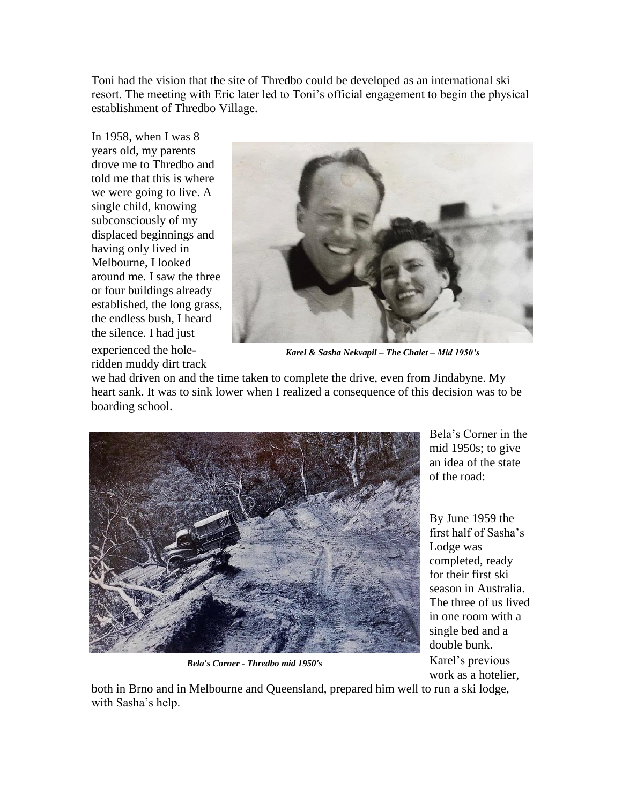Toni had the vision that the site of Thredbo could be developed as an international ski resort. The meeting with Eric later led to Toni's official engagement to begin the physical establishment of Thredbo Village.

In 1958, when I was 8 years old, my parents drove me to Thredbo and told me that this is where we were going to live. A single child, knowing subconsciously of my displaced beginnings and having only lived in Melbourne, I looked around me. I saw the three or four buildings already established, the long grass, the endless bush, I heard the silence. I had just experienced the holeridden muddy dirt track

![](_page_2_Picture_2.jpeg)

*Karel & Sasha Nekvapil – The Chalet – Mid 1950's*

we had driven on and the time taken to complete the drive, even from Jindabyne. My heart sank. It was to sink lower when I realized a consequence of this decision was to be boarding school.

![](_page_2_Picture_5.jpeg)

*Bela's Corner - Thredbo mid 1950's*

Bela's Corner in the mid 1950s; to give an idea of the state of the road:

By June 1959 the first half of Sasha's Lodge was completed, ready for their first ski season in Australia. The three of us lived in one room with a single bed and a double bunk. Karel's previous

work as a hotelier,

both in Brno and in Melbourne and Queensland, prepared him well to run a ski lodge, with Sasha's help.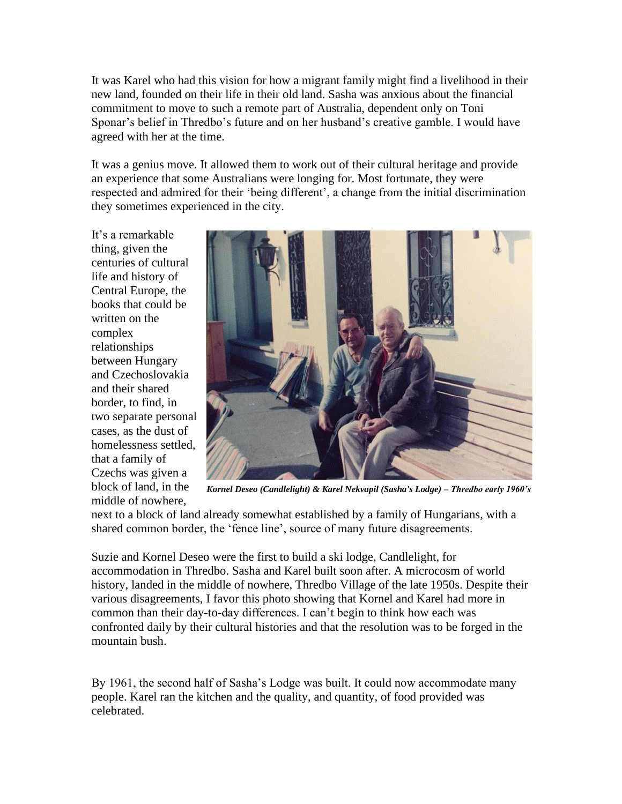It was Karel who had this vision for how a migrant family might find a livelihood in their new land, founded on their life in their old land. Sasha was anxious about the financial commitment to move to such a remote part of Australia, dependent only on Toni Sponar's belief in Thredbo's future and on her husband's creative gamble. I would have agreed with her at the time.

It was a genius move. It allowed them to work out of their cultural heritage and provide an experience that some Australians were longing for. Most fortunate, they were respected and admired for their 'being different', a change from the initial discrimination they sometimes experienced in the city.

It's a remarkable thing, given the centuries of cultural life and history of Central Europe, the books that could be written on the complex relationships between Hungary and Czechoslovakia and their shared border, to find, in two separate personal cases, as the dust of homelessness settled, that a family of Czechs was given a block of land, in the middle of nowhere,

![](_page_3_Picture_3.jpeg)

*Kornel Deseo (Candlelight) & Karel Nekvapil (Sasha's Lodge) – Thredbo early 1960's*

next to a block of land already somewhat established by a family of Hungarians, with a shared common border, the 'fence line', source of many future disagreements.

Suzie and Kornel Deseo were the first to build a ski lodge, Candlelight, for accommodation in Thredbo. Sasha and Karel built soon after. A microcosm of world history, landed in the middle of nowhere, Thredbo Village of the late 1950s. Despite their various disagreements, I favor this photo showing that Kornel and Karel had more in common than their day-to-day differences. I can't begin to think how each was confronted daily by their cultural histories and that the resolution was to be forged in the mountain bush.

By 1961, the second half of Sasha's Lodge was built. It could now accommodate many people. Karel ran the kitchen and the quality, and quantity, of food provided was celebrated.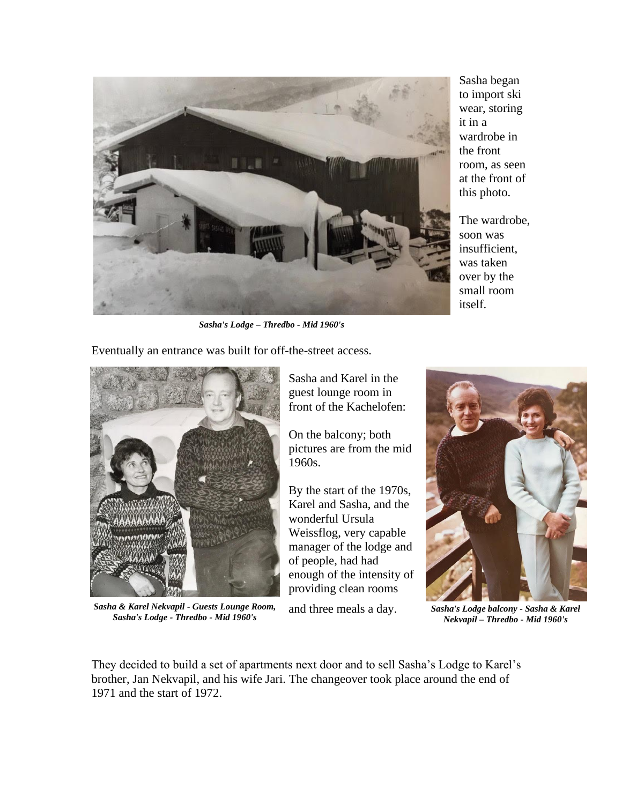![](_page_4_Picture_0.jpeg)

Sasha began to import ski wear, storing it in a wardrobe in the front room, as seen at the front of this photo.

The wardrobe, soon was insufficient, was taken over by the small room itself.

*Sasha's Lodge – Thredbo - Mid 1960's*

Eventually an entrance was built for off-the-street access.

![](_page_4_Picture_5.jpeg)

*Sasha & Karel Nekvapil - Guests Lounge Room, Sasha's Lodge - Thredbo - Mid 1960's*

Sasha and Karel in the guest lounge room in front of the Kachelofen:

On the balcony; both pictures are from the mid 1960s.

By the start of the 1970s, Karel and Sasha, and the wonderful Ursula Weissflog, very capable manager of the lodge and of people, had had enough of the intensity of providing clean rooms

and three meals a day.

![](_page_4_Picture_11.jpeg)

*Sasha's Lodge balcony - Sasha & Karel Nekvapil – Thredbo - Mid 1960's*

They decided to build a set of apartments next door and to sell Sasha's Lodge to Karel's brother, Jan Nekvapil, and his wife Jari. The changeover took place around the end of 1971 and the start of 1972.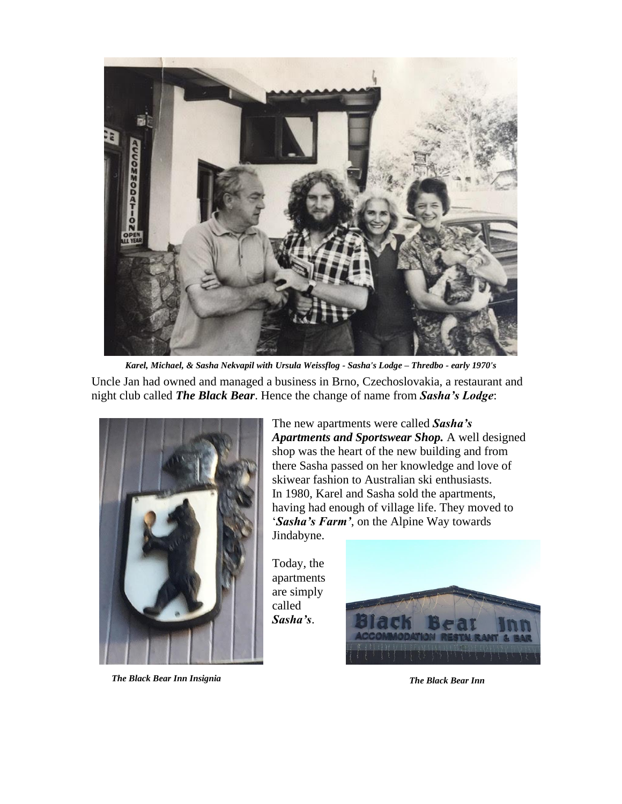![](_page_5_Picture_0.jpeg)

Uncle Jan had owned and managed a business in Brno, Czechoslovakia, a restaurant and night club called *The Black Bear*. Hence the change of name from *Sasha's Lodge*: *Karel, Michael, & Sasha Nekvapil with Ursula Weissflog - Sasha's Lodge – Thredbo - early 1970's*

![](_page_5_Picture_2.jpeg)

*The Black Bear Inn Insignia The Black Bear Inn*

The new apartments were called *Sasha's Apartments and Sportswear Shop.* A well designed shop was the heart of the new building and from there Sasha passed on her knowledge and love of skiwear fashion to Australian ski enthusiasts. In 1980, Karel and Sasha sold the apartments, having had enough of village life. They moved to '*Sasha's Farm'*, on the Alpine Way towards Jindabyne.

Today, the apartments are simply called *Sasha's*.

![](_page_5_Picture_6.jpeg)